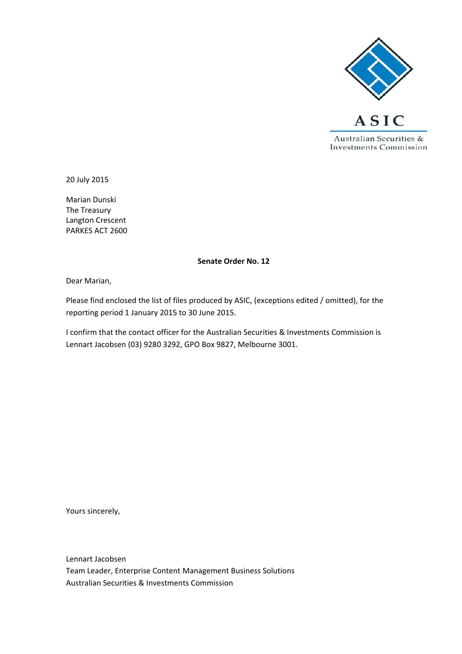

20 July 2015

Marian Dunski The Treasury Langton Crescent PARKES ACT 2600

#### **Senate Order No. 12**

Dear Marian,

Please find enclosed the list of files produced by ASIC, (exceptions edited / omitted), for the reporting period 1 January 2015 to 30 June 2015.

I confirm that the contact officer for the Australian Securities & Investments Commission is Lennart Jacobsen (03) 9280 3292, GPO Box 9827, Melbourne 3001.

Yours sincerely,

Lennart Jacobsen Team Leader, Enterprise Content Management Business Solutions Australian Securities & Investments Commission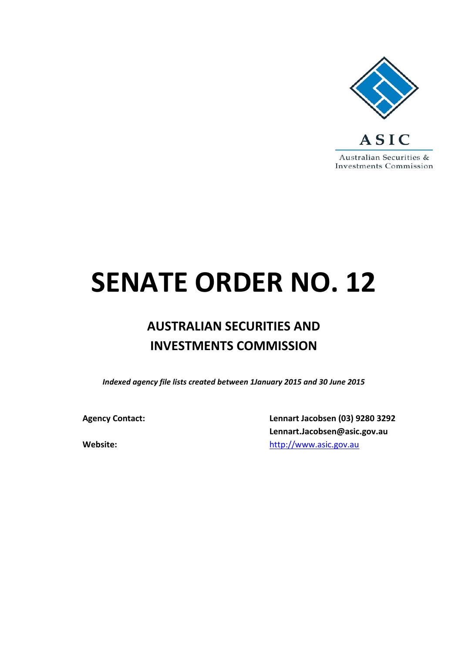

# **SENATE ORDER NO. 12**

## **AUSTRALIAN SECURITIES AND INVESTMENTS COMMISSION**

*Indexed agency file lists created between 1January 2015 and 30 June 2015*

**Agency Contact: Lennart Jacobsen (03) 9280 3292 Lennart.Jacobsen@asic.gov.au Website:** http://www.asic.gov.au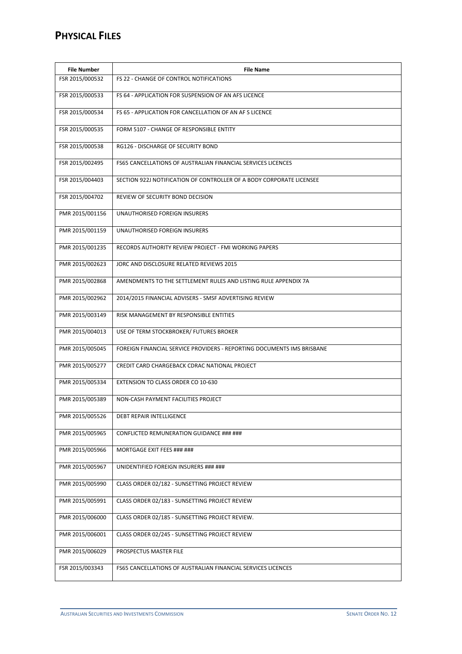### **PHYSICAL FILES**

| <b>File Number</b> | <b>File Name</b>                                                       |
|--------------------|------------------------------------------------------------------------|
| FSR 2015/000532    | FS 22 - CHANGE OF CONTROL NOTIFICATIONS                                |
| FSR 2015/000533    | FS 64 - APPLICATION FOR SUSPENSION OF AN AFS LICENCE                   |
| FSR 2015/000534    | FS 65 - APPLICATION FOR CANCELLATION OF AN AF S LICENCE                |
| FSR 2015/000535    | FORM 5107 - CHANGE OF RESPONSIBLE ENTITY                               |
| FSR 2015/000538    | RG126 - DISCHARGE OF SECURITY BOND                                     |
| FSR 2015/002495    | FS65 CANCELLATIONS OF AUSTRALIAN FINANCIAL SERVICES LICENCES           |
| FSR 2015/004403    | SECTION 922J NOTIFICATION OF CONTROLLER OF A BODY CORPORATE LICENSEE   |
| FSR 2015/004702    | REVIEW OF SECURITY BOND DECISION                                       |
| PMR 2015/001156    | UNAUTHORISED FOREIGN INSURERS                                          |
| PMR 2015/001159    | UNAUTHORISED FOREIGN INSURERS                                          |
| PMR 2015/001235    | RECORDS AUTHORITY REVIEW PROJECT - FMI WORKING PAPERS                  |
| PMR 2015/002623    | JORC AND DISCLOSURE RELATED REVIEWS 2015                               |
| PMR 2015/002868    | AMENDMENTS TO THE SETTLEMENT RULES AND LISTING RULE APPENDIX 7A        |
| PMR 2015/002962    | 2014/2015 FINANCIAL ADVISERS - SMSF ADVERTISING REVIEW                 |
| PMR 2015/003149    | RISK MANAGEMENT BY RESPONSIBLE ENTITIES                                |
| PMR 2015/004013    | USE OF TERM STOCKBROKER/ FUTURES BROKER                                |
| PMR 2015/005045    | FOREIGN FINANCIAL SERVICE PROVIDERS - REPORTING DOCUMENTS IMS BRISBANE |
| PMR 2015/005277    | CREDIT CARD CHARGEBACK CDRAC NATIONAL PROJECT                          |
| PMR 2015/005334    | EXTENSION TO CLASS ORDER CO 10-630                                     |
| PMR 2015/005389    | NON-CASH PAYMENT FACILITIES PROJECT                                    |
| PMR 2015/005526    | DEBT REPAIR INTELLIGENCE                                               |
| PMR 2015/005965    | CONFLICTED REMUNERATION GUIDANCE ### ###                               |
| PMR 2015/005966    | MORTGAGE EXIT FEES ### ###                                             |
| PMR 2015/005967    | UNIDENTIFIED FOREIGN INSURERS ### ###                                  |
| PMR 2015/005990    | CLASS ORDER 02/182 - SUNSETTING PROJECT REVIEW                         |
| PMR 2015/005991    | CLASS ORDER 02/183 - SUNSETTING PROJECT REVIEW                         |
| PMR 2015/006000    | CLASS ORDER 02/185 - SUNSETTING PROJECT REVIEW.                        |
| PMR 2015/006001    | CLASS ORDER 02/245 - SUNSETTING PROJECT REVIEW                         |
| PMR 2015/006029    | PROSPECTUS MASTER FILE                                                 |
| FSR 2015/003343    | FS65 CANCELLATIONS OF AUSTRALIAN FINANCIAL SERVICES LICENCES           |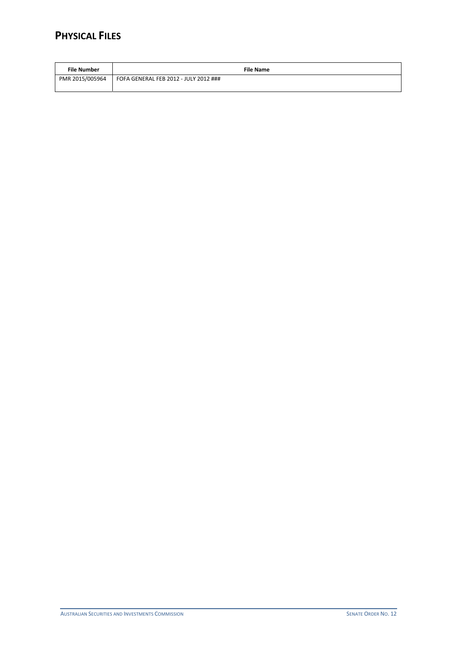### **PHYSICAL FILES**

| File Number     | <b>File Name</b>                      |
|-----------------|---------------------------------------|
| PMR 2015/005964 | FOFA GENERAL FEB 2012 - JULY 2012 ### |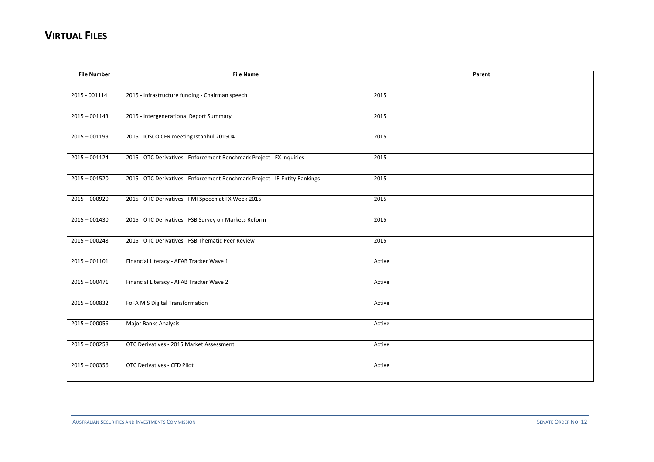| <b>File Number</b> | <b>File Name</b>                                                            | Parent |
|--------------------|-----------------------------------------------------------------------------|--------|
|                    |                                                                             |        |
| 2015 - 001114      | 2015 - Infrastructure funding - Chairman speech                             | 2015   |
|                    |                                                                             |        |
| $2015 - 001143$    | 2015 - Intergenerational Report Summary                                     | 2015   |
|                    |                                                                             |        |
| $2015 - 001199$    | 2015 - IOSCO CER meeting Istanbul 201504                                    | 2015   |
|                    |                                                                             |        |
| $2015 - 001124$    | 2015 - OTC Derivatives - Enforcement Benchmark Project - FX Inquiries       | 2015   |
|                    |                                                                             |        |
| $2015 - 001520$    | 2015 - OTC Derivatives - Enforcement Benchmark Project - IR Entity Rankings | 2015   |
|                    |                                                                             |        |
| $2015 - 000920$    | 2015 - OTC Derivatives - FMI Speech at FX Week 2015                         | 2015   |
|                    |                                                                             |        |
| $2015 - 001430$    | 2015 - OTC Derivatives - FSB Survey on Markets Reform                       | 2015   |
|                    |                                                                             |        |
| $2015 - 000248$    | 2015 - OTC Derivatives - FSB Thematic Peer Review                           | 2015   |
|                    |                                                                             |        |
| $2015 - 001101$    | Financial Literacy - AFAB Tracker Wave 1                                    | Active |
|                    |                                                                             |        |
| $2015 - 000471$    | Financial Literacy - AFAB Tracker Wave 2                                    | Active |
|                    |                                                                             |        |
| $2015 - 000832$    | FoFA MIS Digital Transformation                                             | Active |
|                    |                                                                             |        |
| $2015 - 000056$    | Major Banks Analysis                                                        | Active |
|                    |                                                                             |        |
| $2015 - 000258$    | OTC Derivatives - 2015 Market Assessment                                    | Active |
|                    |                                                                             |        |
| $2015 - 000356$    | OTC Derivatives - CFD Pilot                                                 | Active |
|                    |                                                                             |        |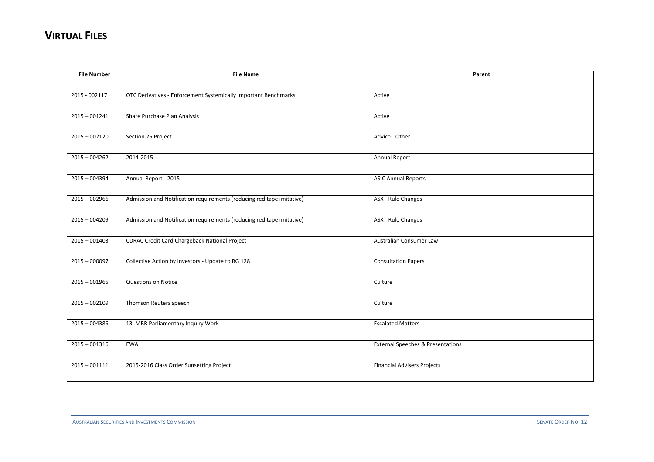| <b>File Number</b> | <b>File Name</b>                                                      | Parent                                       |
|--------------------|-----------------------------------------------------------------------|----------------------------------------------|
|                    |                                                                       |                                              |
| 2015 - 002117      | OTC Derivatives - Enforcement Systemically Important Benchmarks       | Active                                       |
|                    |                                                                       |                                              |
| $2015 - 001241$    | Share Purchase Plan Analysis                                          | Active                                       |
|                    |                                                                       |                                              |
| $2015 - 002120$    | Section 25 Project                                                    | Advice - Other                               |
|                    |                                                                       |                                              |
| $2015 - 004262$    | 2014-2015                                                             | Annual Report                                |
|                    |                                                                       |                                              |
| $2015 - 004394$    | Annual Report - 2015                                                  | <b>ASIC Annual Reports</b>                   |
|                    |                                                                       |                                              |
| $2015 - 002966$    | Admission and Notification requirements (reducing red tape imitative) | ASX - Rule Changes                           |
|                    |                                                                       |                                              |
| $2015 - 004209$    | Admission and Notification requirements (reducing red tape imitative) | ASX - Rule Changes                           |
|                    |                                                                       |                                              |
| $2015 - 001403$    | <b>CDRAC Credit Card Chargeback National Project</b>                  | Australian Consumer Law                      |
|                    |                                                                       |                                              |
| $2015 - 000097$    | Collective Action by Investors - Update to RG 128                     | <b>Consultation Papers</b>                   |
| $2015 - 001965$    | <b>Questions on Notice</b>                                            | Culture                                      |
|                    |                                                                       |                                              |
| $2015 - 002109$    | Thomson Reuters speech                                                | Culture                                      |
|                    |                                                                       |                                              |
| $2015 - 004386$    | 13. MBR Parliamentary Inquiry Work                                    | <b>Escalated Matters</b>                     |
|                    |                                                                       |                                              |
| $2015 - 001316$    | <b>EWA</b>                                                            | <b>External Speeches &amp; Presentations</b> |
|                    |                                                                       |                                              |
| $2015 - 001111$    | 2015-2016 Class Order Sunsetting Project                              | <b>Financial Advisers Projects</b>           |
|                    |                                                                       |                                              |
|                    |                                                                       |                                              |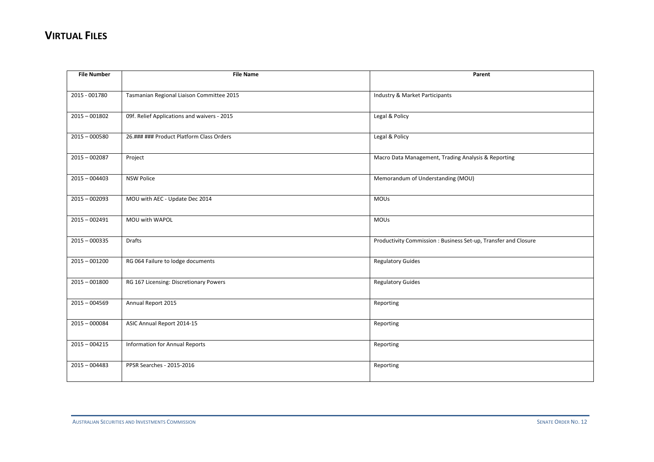| <b>File Number</b> | <b>File Name</b>                            | Parent                                                         |
|--------------------|---------------------------------------------|----------------------------------------------------------------|
|                    |                                             |                                                                |
| 2015 - 001780      | Tasmanian Regional Liaison Committee 2015   | Industry & Market Participants                                 |
|                    |                                             |                                                                |
| $2015 - 001802$    | 09f. Relief Applications and waivers - 2015 | Legal & Policy                                                 |
|                    |                                             |                                                                |
| $2015 - 000580$    | 26.### ### Product Platform Class Orders    | Legal & Policy                                                 |
|                    |                                             |                                                                |
| $2015 - 002087$    | Project                                     | Macro Data Management, Trading Analysis & Reporting            |
| $2015 - 004403$    |                                             |                                                                |
|                    | <b>NSW Police</b>                           | Memorandum of Understanding (MOU)                              |
| $2015 - 002093$    | MOU with AEC - Update Dec 2014              | <b>MOUs</b>                                                    |
|                    |                                             |                                                                |
| $2015 - 002491$    | MOU with WAPOL                              | <b>MOUs</b>                                                    |
|                    |                                             |                                                                |
| $2015 - 000335$    | <b>Drafts</b>                               | Productivity Commission: Business Set-up, Transfer and Closure |
|                    |                                             |                                                                |
| $2015 - 001200$    | RG 064 Failure to lodge documents           | <b>Regulatory Guides</b>                                       |
|                    |                                             |                                                                |
| $2015 - 001800$    | RG 167 Licensing: Discretionary Powers      | <b>Regulatory Guides</b>                                       |
|                    |                                             |                                                                |
| $2015 - 004569$    | Annual Report 2015                          | Reporting                                                      |
|                    |                                             |                                                                |
| $2015 - 000084$    | ASIC Annual Report 2014-15                  | Reporting                                                      |
| $2015 - 004215$    | <b>Information for Annual Reports</b>       |                                                                |
|                    |                                             | Reporting                                                      |
| $2015 - 004483$    | PPSR Searches - 2015-2016                   | Reporting                                                      |
|                    |                                             |                                                                |
|                    |                                             |                                                                |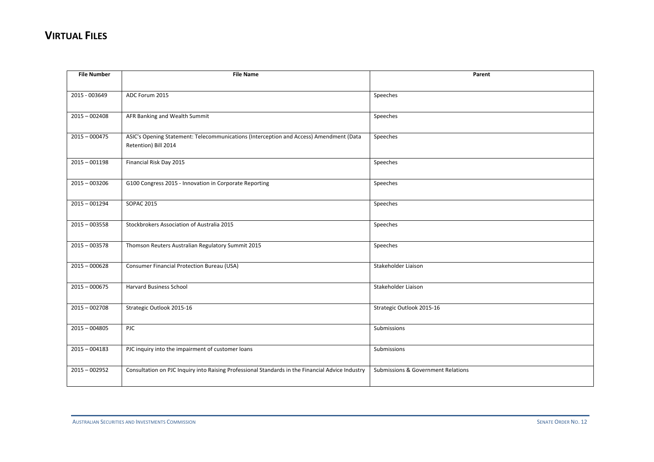| <b>File Number</b> | <b>File Name</b>                                                                                 | Parent                             |
|--------------------|--------------------------------------------------------------------------------------------------|------------------------------------|
|                    |                                                                                                  |                                    |
| 2015 - 003649      | ADC Forum 2015                                                                                   | Speeches                           |
|                    |                                                                                                  |                                    |
| $2015 - 002408$    | AFR Banking and Wealth Summit                                                                    | Speeches                           |
|                    |                                                                                                  |                                    |
| $2015 - 000475$    | ASIC's Opening Statement: Telecommunications (Interception and Access) Amendment (Data           | Speeches                           |
|                    | Retention) Bill 2014                                                                             |                                    |
| $2015 - 001198$    | Financial Risk Day 2015                                                                          | Speeches                           |
|                    |                                                                                                  |                                    |
| $2015 - 003206$    | G100 Congress 2015 - Innovation in Corporate Reporting                                           | Speeches                           |
|                    |                                                                                                  |                                    |
| $2015 - 001294$    | <b>SOPAC 2015</b>                                                                                | Speeches                           |
|                    |                                                                                                  |                                    |
| $2015 - 003558$    | Stockbrokers Association of Australia 2015                                                       | Speeches                           |
|                    |                                                                                                  |                                    |
| $2015 - 003578$    | Thomson Reuters Australian Regulatory Summit 2015                                                | Speeches                           |
|                    |                                                                                                  |                                    |
| $2015 - 000628$    | <b>Consumer Financial Protection Bureau (USA)</b>                                                | Stakeholder Liaison                |
|                    |                                                                                                  |                                    |
| $2015 - 000675$    | <b>Harvard Business School</b>                                                                   | Stakeholder Liaison                |
| $2015 - 002708$    | Strategic Outlook 2015-16                                                                        | Strategic Outlook 2015-16          |
|                    |                                                                                                  |                                    |
| $2015 - 004805$    | PJC                                                                                              | Submissions                        |
|                    |                                                                                                  |                                    |
| $2015 - 004183$    | PJC inquiry into the impairment of customer loans                                                | Submissions                        |
|                    |                                                                                                  |                                    |
| $2015 - 002952$    | Consultation on PJC Inquiry into Raising Professional Standards in the Financial Advice Industry | Submissions & Government Relations |
|                    |                                                                                                  |                                    |